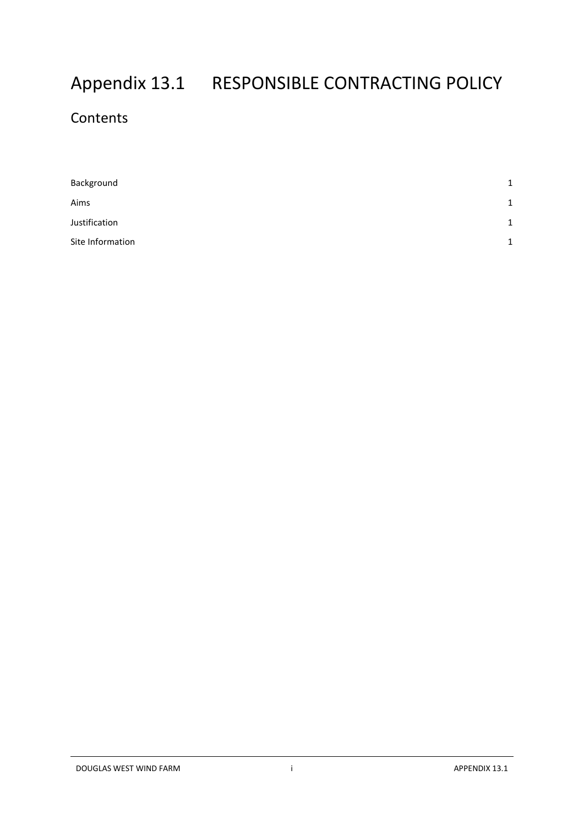# Appendix 13.1 RESPONSIBLE CONTRACTING POLICY

#### **Contents**

| Background       | $\mathbf{1}$ |
|------------------|--------------|
| Aims             | $\mathbf{1}$ |
| Justification    | $\mathbf{1}$ |
| Site Information | $\mathbf{1}$ |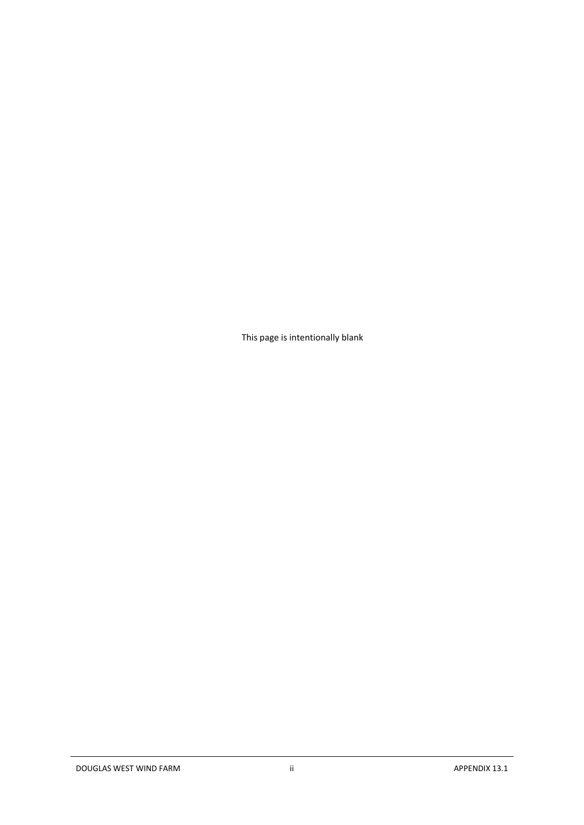This page is intentionally blank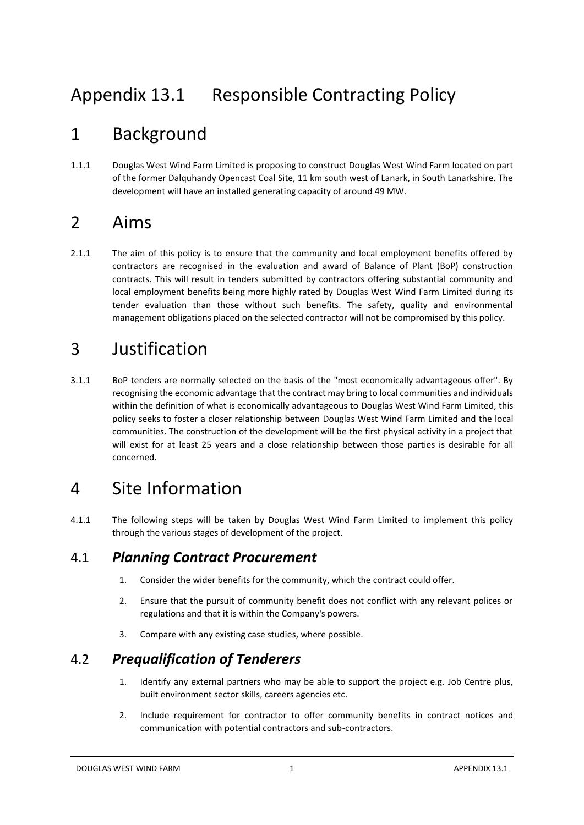## Appendix 13.1 Responsible Contracting Policy

### 1 Background

1.1.1 Douglas West Wind Farm Limited is proposing to construct Douglas West Wind Farm located on part of the former Dalquhandy Opencast Coal Site, 11 km south west of Lanark, in South Lanarkshire. The development will have an installed generating capacity of around 49 MW.

### 2 Aims

2.1.1 The aim of this policy is to ensure that the community and local employment benefits offered by contractors are recognised in the evaluation and award of Balance of Plant (BoP) construction contracts. This will result in tenders submitted by contractors offering substantial community and local employment benefits being more highly rated by Douglas West Wind Farm Limited during its tender evaluation than those without such benefits. The safety, quality and environmental management obligations placed on the selected contractor will not be compromised by this policy.

### 3 Justification

3.1.1 BoP tenders are normally selected on the basis of the "most economically advantageous offer". By recognising the economic advantage that the contract may bring to local communities and individuals within the definition of what is economically advantageous to Douglas West Wind Farm Limited, this policy seeks to foster a closer relationship between Douglas West Wind Farm Limited and the local communities. The construction of the development will be the first physical activity in a project that will exist for at least 25 years and a close relationship between those parties is desirable for all concerned.

### 4 Site Information

4.1.1 The following steps will be taken by Douglas West Wind Farm Limited to implement this policy through the various stages of development of the project.

#### 4.1 *Planning Contract Procurement*

- 1. Consider the wider benefits for the community, which the contract could offer.
- 2. Ensure that the pursuit of community benefit does not conflict with any relevant polices or regulations and that it is within the Company's powers.
- 3. Compare with any existing case studies, where possible.

#### 4.2 *Prequalification of Tenderers*

- 1. Identify any external partners who may be able to support the project e.g. Job Centre plus, built environment sector skills, careers agencies etc.
- 2. Include requirement for contractor to offer community benefits in contract notices and communication with potential contractors and sub-contractors.